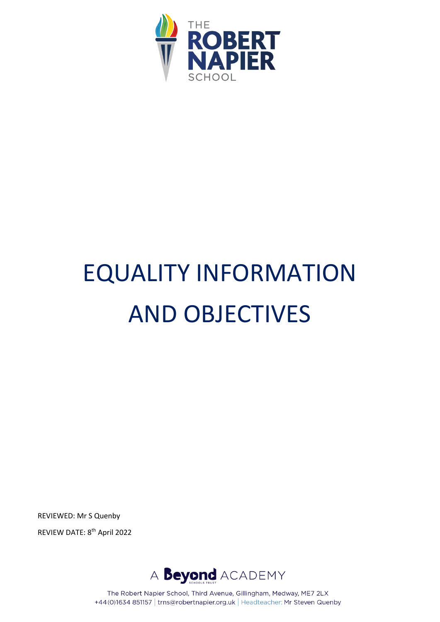

# EQUALITY INFORMATION AND OBJECTIVES

REVIEWED: Mr S Quenby

REVIEW DATE: 8<sup>th</sup> April 2022



The Robert Napier School, Third Avenue, Gillingham, Medway, ME7 2LX +44(0)1634 851157 | trns@robertnapier.org.uk | Headteacher: Mr Steven Quenby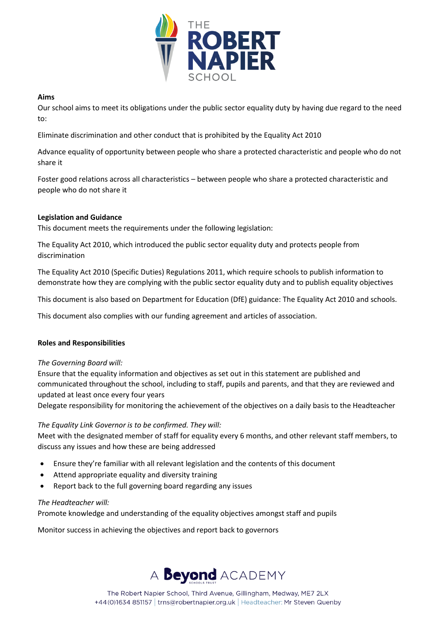

#### **Aims**

Our school aims to meet its obligations under the public sector equality duty by having due regard to the need to:

Eliminate discrimination and other conduct that is prohibited by the Equality Act 2010

Advance equality of opportunity between people who share a protected characteristic and people who do not share it

Foster good relations across all characteristics – between people who share a protected characteristic and people who do not share it

## **Legislation and Guidance**

This document meets the requirements under the following legislation:

The Equality Act 2010, which introduced the public sector equality duty and protects people from discrimination

The Equality Act 2010 (Specific Duties) Regulations 2011, which require schools to publish information to demonstrate how they are complying with the public sector equality duty and to publish equality objectives

This document is also based on Department for Education (DfE) guidance: The Equality Act 2010 and schools.

This document also complies with our funding agreement and articles of association.

#### **Roles and Responsibilities**

*The Governing Board will:*

Ensure that the equality information and objectives as set out in this statement are published and communicated throughout the school, including to staff, pupils and parents, and that they are reviewed and updated at least once every four years

Delegate responsibility for monitoring the achievement of the objectives on a daily basis to the Headteacher

## *The Equality Link Governor is to be confirmed. They will:*

Meet with the designated member of staff for equality every 6 months, and other relevant staff members, to discuss any issues and how these are being addressed

- Ensure they're familiar with all relevant legislation and the contents of this document
- Attend appropriate equality and diversity training
- Report back to the full governing board regarding any issues

#### *The Headteacher will:*

Promote knowledge and understanding of the equality objectives amongst staff and pupils

Monitor success in achieving the objectives and report back to governors

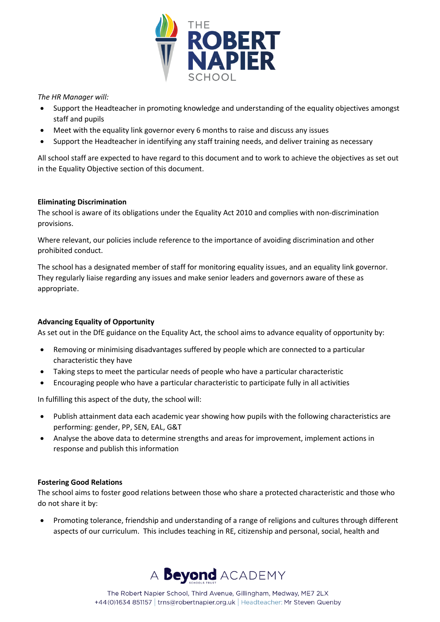

*The HR Manager will:*

- Support the Headteacher in promoting knowledge and understanding of the equality objectives amongst staff and pupils
- Meet with the equality link governor every 6 months to raise and discuss any issues
- Support the Headteacher in identifying any staff training needs, and deliver training as necessary

All school staff are expected to have regard to this document and to work to achieve the objectives as set out in the Equality Objective section of this document.

## **Eliminating Discrimination**

The school is aware of its obligations under the Equality Act 2010 and complies with non-discrimination provisions.

Where relevant, our policies include reference to the importance of avoiding discrimination and other prohibited conduct.

The school has a designated member of staff for monitoring equality issues, and an equality link governor. They regularly liaise regarding any issues and make senior leaders and governors aware of these as appropriate.

## **Advancing Equality of Opportunity**

As set out in the DfE guidance on the Equality Act, the school aims to advance equality of opportunity by:

- Removing or minimising disadvantages suffered by people which are connected to a particular characteristic they have
- Taking steps to meet the particular needs of people who have a particular characteristic
- Encouraging people who have a particular characteristic to participate fully in all activities

In fulfilling this aspect of the duty, the school will:

- Publish attainment data each academic year showing how pupils with the following characteristics are performing: gender, PP, SEN, EAL, G&T
- Analyse the above data to determine strengths and areas for improvement, implement actions in response and publish this information

#### **Fostering Good Relations**

The school aims to foster good relations between those who share a protected characteristic and those who do not share it by:

• Promoting tolerance, friendship and understanding of a range of religions and cultures through different aspects of our curriculum. This includes teaching in RE, citizenship and personal, social, health and

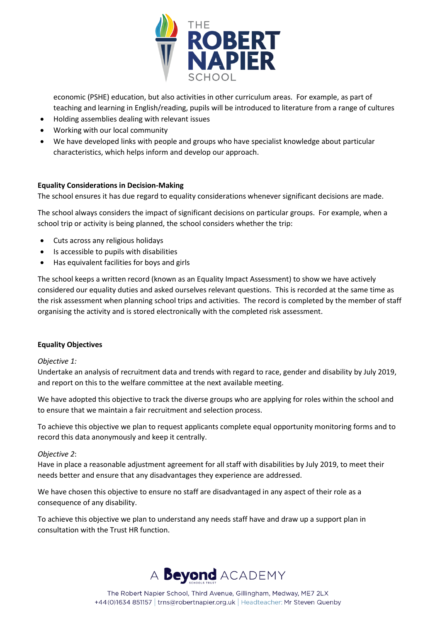

economic (PSHE) education, but also activities in other curriculum areas. For example, as part of teaching and learning in English/reading, pupils will be introduced to literature from a range of cultures

- Holding assemblies dealing with relevant issues
- Working with our local community
- We have developed links with people and groups who have specialist knowledge about particular characteristics, which helps inform and develop our approach.

## **Equality Considerations in Decision-Making**

The school ensures it has due regard to equality considerations whenever significant decisions are made.

The school always considers the impact of significant decisions on particular groups. For example, when a school trip or activity is being planned, the school considers whether the trip:

- Cuts across any religious holidays
- Is accessible to pupils with disabilities
- Has equivalent facilities for boys and girls

The school keeps a written record (known as an Equality Impact Assessment) to show we have actively considered our equality duties and asked ourselves relevant questions. This is recorded at the same time as the risk assessment when planning school trips and activities. The record is completed by the member of staff organising the activity and is stored electronically with the completed risk assessment.

#### **Equality Objectives**

#### *Objective 1:*

Undertake an analysis of recruitment data and trends with regard to race, gender and disability by July 2019, and report on this to the welfare committee at the next available meeting.

We have adopted this objective to track the diverse groups who are applying for roles within the school and to ensure that we maintain a fair recruitment and selection process.

To achieve this objective we plan to request applicants complete equal opportunity monitoring forms and to record this data anonymously and keep it centrally.

#### *Objective 2*:

Have in place a reasonable adjustment agreement for all staff with disabilities by July 2019, to meet their needs better and ensure that any disadvantages they experience are addressed.

We have chosen this objective to ensure no staff are disadvantaged in any aspect of their role as a consequence of any disability.

To achieve this objective we plan to understand any needs staff have and draw up a support plan in consultation with the Trust HR function.